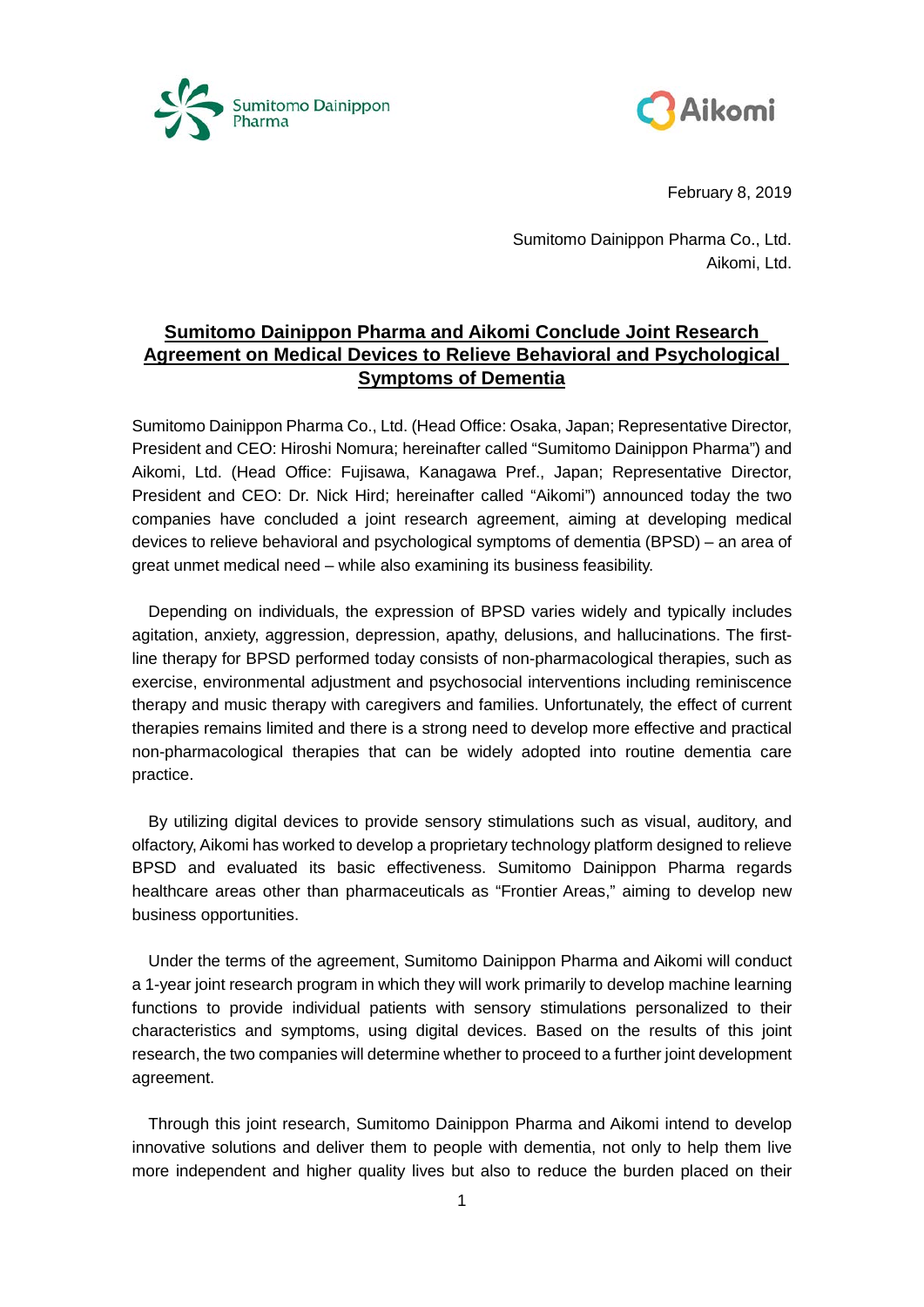



February 8, 2019

Sumitomo Dainippon Pharma Co., Ltd. Aikomi, Ltd.

# **Sumitomo Dainippon Pharma and Aikomi Conclude Joint Research Agreement on Medical Devices to Relieve Behavioral and Psychological Symptoms of Dementia**

Sumitomo Dainippon Pharma Co., Ltd. (Head Office: Osaka, Japan; Representative Director, President and CEO: Hiroshi Nomura; hereinafter called "Sumitomo Dainippon Pharma") and Aikomi, Ltd. (Head Office: Fujisawa, Kanagawa Pref., Japan; Representative Director, President and CEO: Dr. Nick Hird; hereinafter called "Aikomi") announced today the two companies have concluded a joint research agreement, aiming at developing medical devices to relieve behavioral and psychological symptoms of dementia (BPSD) – an area of great unmet medical need – while also examining its business feasibility.

Depending on individuals, the expression of BPSD varies widely and typically includes agitation, anxiety, aggression, depression, apathy, delusions, and hallucinations. The firstline therapy for BPSD performed today consists of non-pharmacological therapies, such as exercise, environmental adjustment and psychosocial interventions including reminiscence therapy and music therapy with caregivers and families. Unfortunately, the effect of current therapies remains limited and there is a strong need to develop more effective and practical non-pharmacological therapies that can be widely adopted into routine dementia care practice.

By utilizing digital devices to provide sensory stimulations such as visual, auditory, and olfactory, Aikomi has worked to develop a proprietary technology platform designed to relieve BPSD and evaluated its basic effectiveness. Sumitomo Dainippon Pharma regards healthcare areas other than pharmaceuticals as "Frontier Areas," aiming to develop new business opportunities.

Under the terms of the agreement, Sumitomo Dainippon Pharma and Aikomi will conduct a 1-year joint research program in which they will work primarily to develop machine learning functions to provide individual patients with sensory stimulations personalized to their characteristics and symptoms, using digital devices. Based on the results of this joint research, the two companies will determine whether to proceed to a further joint development agreement.

Through this joint research, Sumitomo Dainippon Pharma and Aikomi intend to develop innovative solutions and deliver them to people with dementia, not only to help them live more independent and higher quality lives but also to reduce the burden placed on their